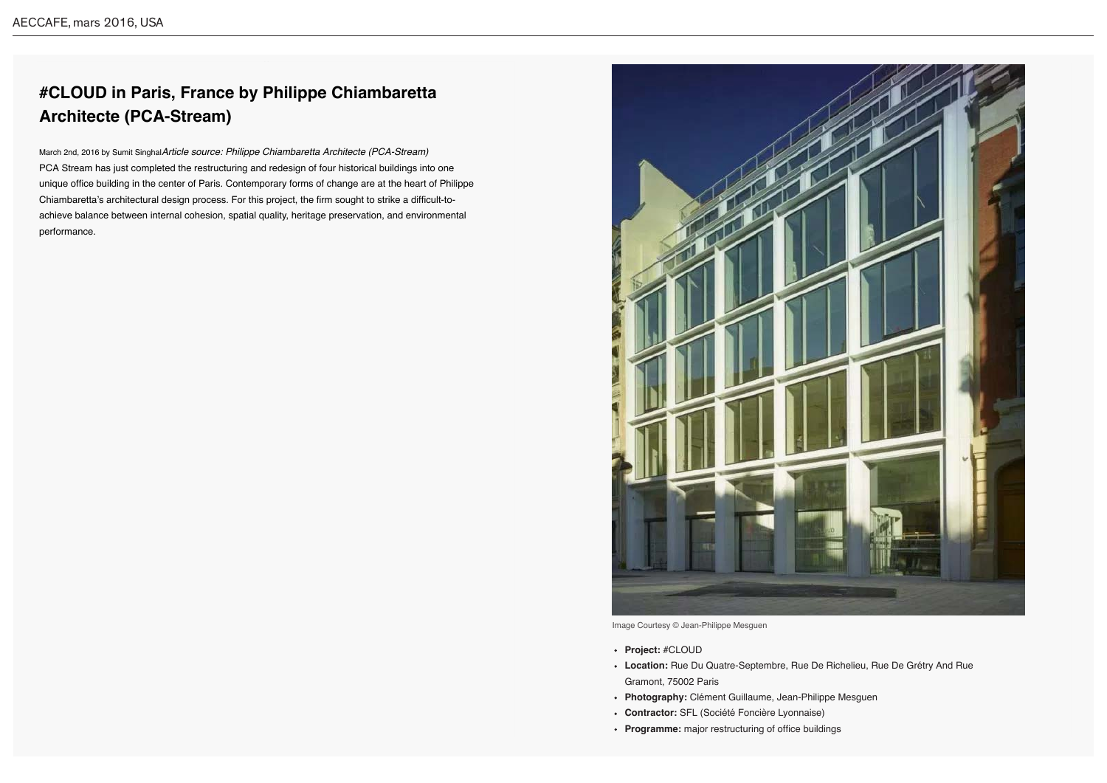## **#CLOUD in Paris, France by Philippe Chiambaretta Architecte (PCA-Stream)**

March 2nd, 2016 by Sumit Singhal*Article source: Philippe Chiambaretta Architecte (PCA-Stream)* PCA Stream has just completed the restructuring and redesign of four historical buildings into one unique office building in the center of Paris. Contemporary forms of change are at the heart of Philippe Chiambaretta's architectural design process. For this project, the firm sought to strike a difficult-toachieve balance between internal cohesion, spatial quality, heritage preservation, and environmental performance.



- **Project:** #CLOUD
- **Location:** Rue Du Quatre-Septembre, Rue De Richelieu, Rue De Grétry And Rue Gramont, 75002 Paris
- **Photography:** Clément Guillaume, Jean-Philippe Mesguen
- **Contractor:** SFL (Société Foncière Lyonnaise)
- **Programme:** major restructuring of office buildings

Image Courtesy © Jean-Philippe Mesguen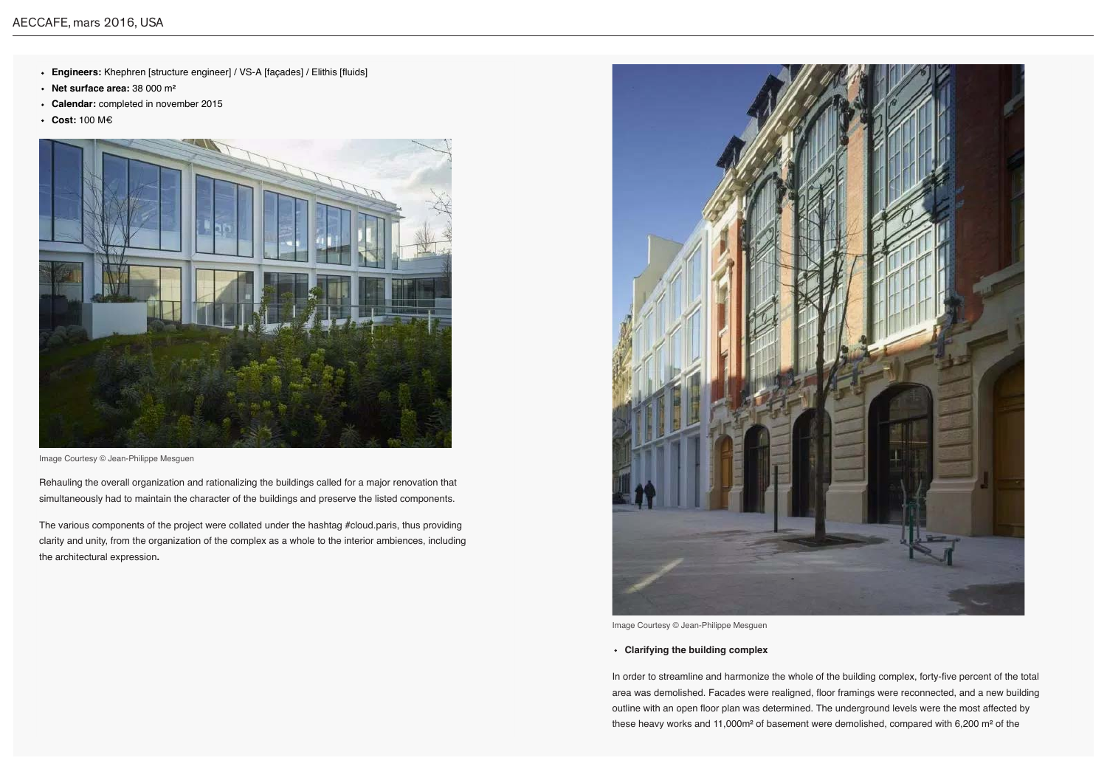- **Engineers:** Khephren [structure engineer] / VS-A [façades] / Elithis [fluids]
- **Net surface area:** 38 000 m²
- **Calendar:** completed in november 2015
- **Cost:** 100 M口

Rehauling the overall organization and rationalizing the buildings called for a major renovation that simultaneously had to maintain the character of the buildings and preserve the listed components.

The various components of the project were collated under the hashtag #cloud.paris, thus providing clarity and unity, from the organization of the complex as a whole to the interior ambiences, including the architectural expression**.**



Image Courtesy © Jean-Philippe Mesguen

## **Clarifying the building complex**

In order to streamline and harmonize the whole of the building complex, forty-five percent of the total area was demolished. Facades were realigned, floor framings were reconnected, and a new building outline with an open floor plan was determined. The underground levels were the most affected by these heavy works and 11,000m² of basement were demolished, compared with 6,200 m² of the



Image Courtesy © Jean-Philippe Mesguen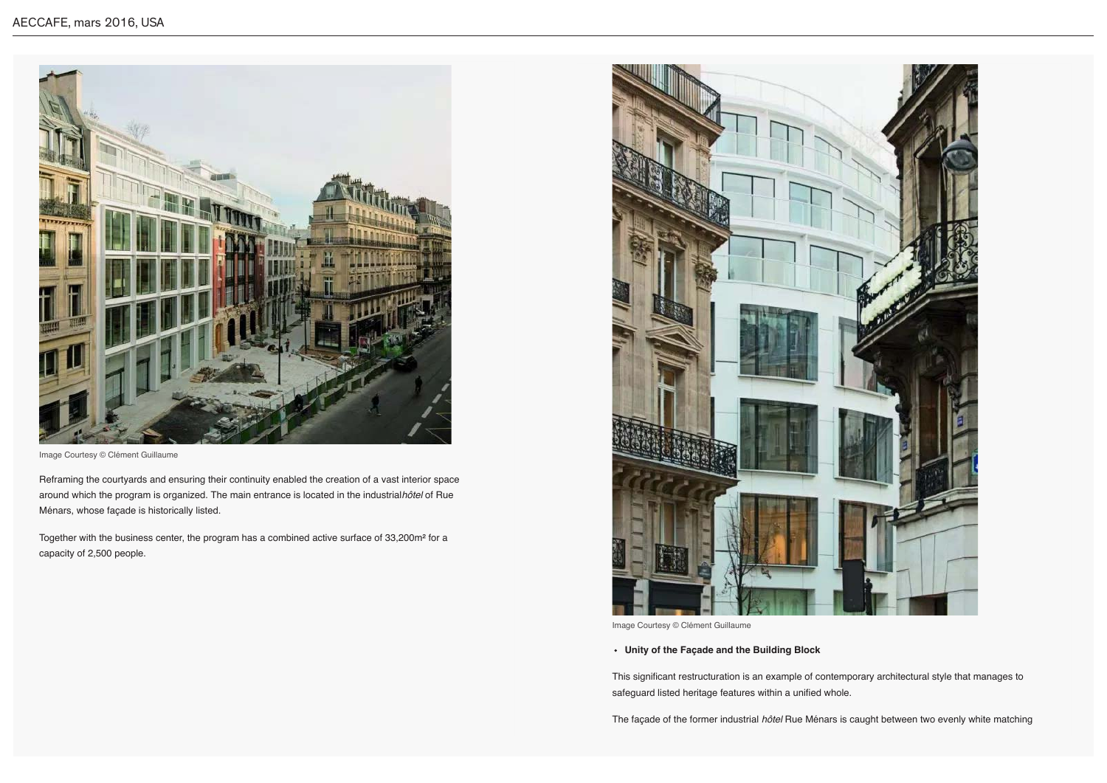Reframing the courtyards and ensuring their continuity enabled the creation of a vast interior space around which the program is organized. The main entrance is located in the industrial*hôtel* of Rue Ménars, whose façade is historically listed.

Together with the business center, the program has a combined active surface of 33,200m² for a capacity of 2,500 people.



Image Courtesy © Clément Guillaume

## **Unity of the Façade and the Building Block**

This significant restructuration is an example of contemporary architectural style that manages to safeguard listed heritage features within a unified whole.

The façade of the former industrial *hôtel* Rue Ménars is caught between two evenly white matching



Image Courtesy © Clément Guillaume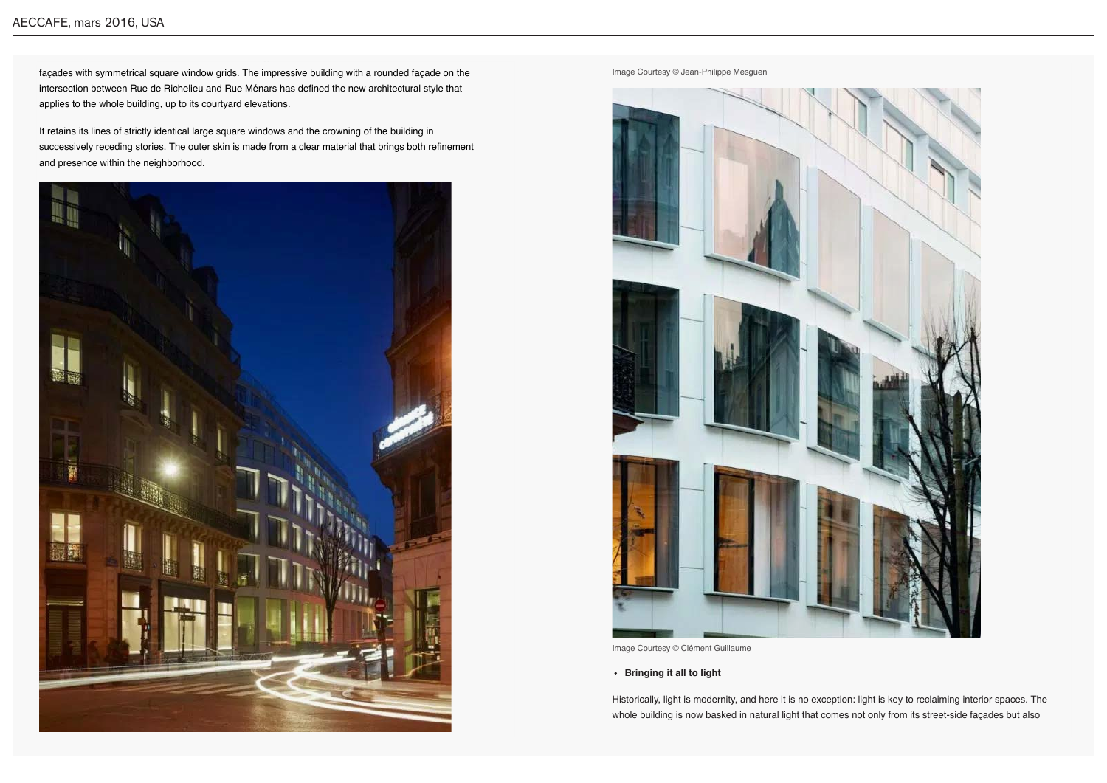façades with symmetrical square window grids. The impressive building with a rounded façade on the intersection between Rue de Richelieu and Rue Ménars has defined the new architectural style that applies to the whole building, up to its courtyard elevations.

It retains its lines of strictly identical large square windows and the crowning of the building in successively receding stories. The outer skin is made from a clear material that brings both refinement and presence within the neighborhood.



**Bringing it all to light**

Historically, light is modernity, and here it is no exception: light is key to reclaiming interior spaces. The whole building is now basked in natural light that comes not only from its street-side façades but also

Image Courtesy © Jean-Philippe Mesguen



Image Courtesy © Clément Guillaume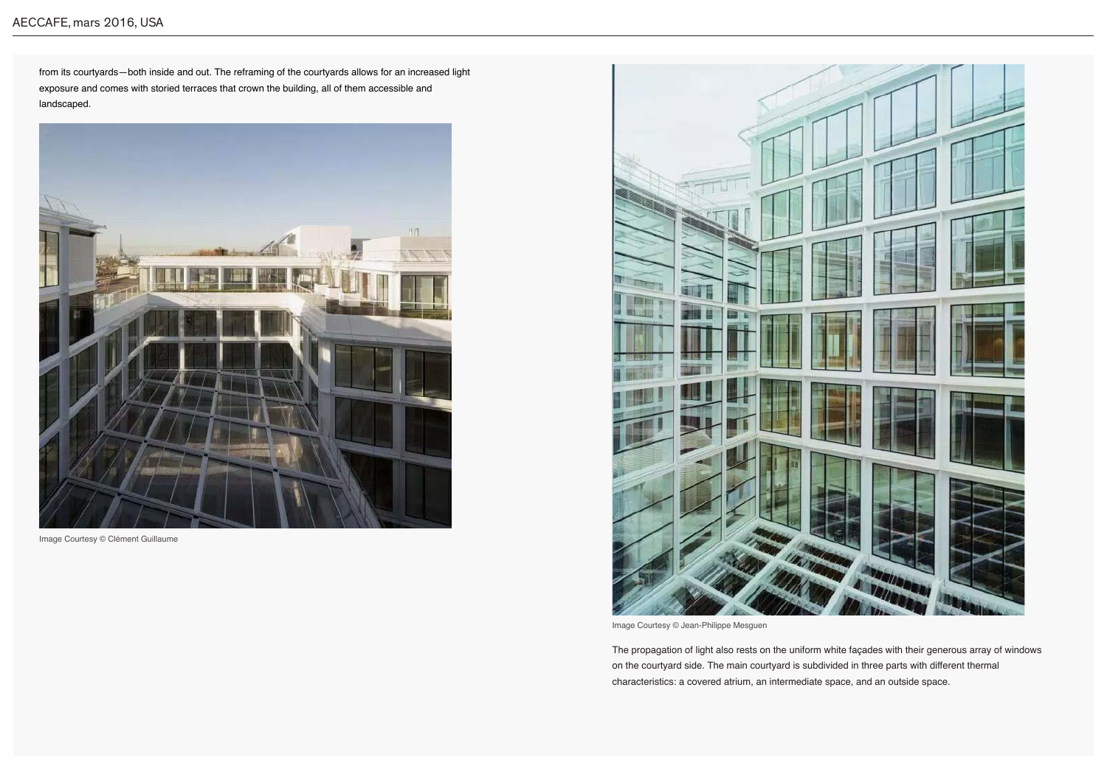## AECCAFE, mars 2016, USA

from its courtyards—both inside and out. The reframing of the courtyards allows for an increased light exposure and comes with storied terraces that crown the building, all of them accessible and landscaped.



Image Courtesy © Clément Guillaume

The propagation of light also rests on the uniform white façades with their generous array of windows on the courtyard side. The main courtyard is subdivided in three parts with different thermal characteristics: a covered atrium, an intermediate space, and an outside space.



Image Courtesy © Jean-Philippe Mesguen